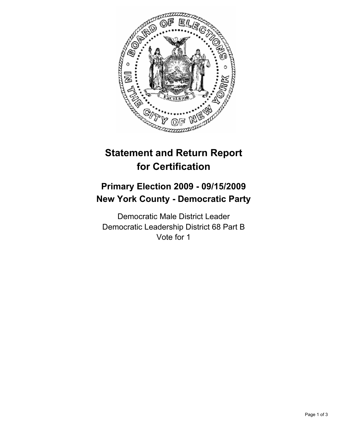

# **Statement and Return Report for Certification**

## **Primary Election 2009 - 09/15/2009 New York County - Democratic Party**

Democratic Male District Leader Democratic Leadership District 68 Part B Vote for 1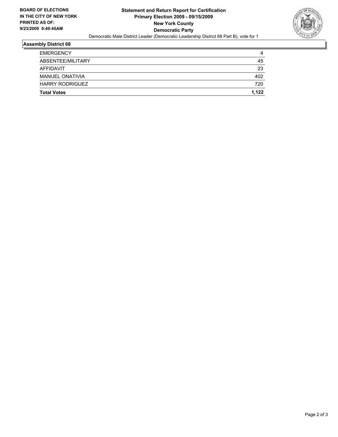

#### **Assembly District 68**

| <b>Total Votes</b>     | 1.122 |
|------------------------|-------|
| <b>HARRY RODRIGUEZ</b> | 720   |
| <b>MANUEL ONATIVIA</b> | 402   |
| AFFIDAVIT              | 23    |
| ABSENTEE/MILITARY      | 45    |
| <b>EMERGENCY</b>       | 4     |